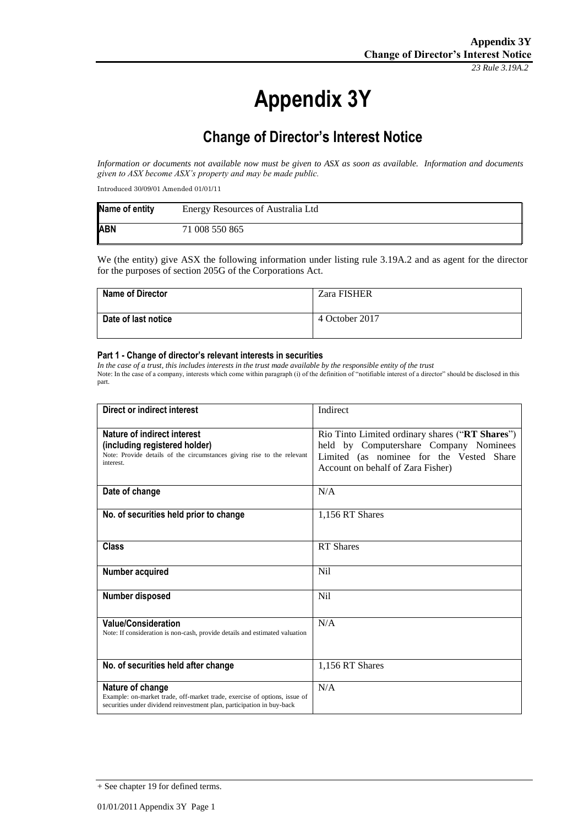*23 Rule 3.19A.2*

# **Appendix 3Y**

# **Change of Director's Interest Notice**

*Information or documents not available now must be given to ASX as soon as available. Information and documents given to ASX become ASX's property and may be made public.*

Introduced 30/09/01 Amended 01/01/11

| Name of entity | Energy Resources of Australia Ltd |
|----------------|-----------------------------------|
| <b>ABN</b>     | 71 008 550 865                    |

We (the entity) give ASX the following information under listing rule 3.19A.2 and as agent for the director for the purposes of section 205G of the Corporations Act.

| <b>Name of Director</b> | Zara FISHER    |
|-------------------------|----------------|
| Date of last notice     | 4 October 2017 |

#### **Part 1 - Change of director's relevant interests in securities**

*In the case of a trust, this includes interests in the trust made available by the responsible entity of the trust* Note: In the case of a company, interests which come within paragraph (i) of the definition of "notifiable interest of a director" should be disclosed in this part.

| <b>Direct or indirect interest</b>                                                                                                                                      | Indirect                                                                                                                                                                   |
|-------------------------------------------------------------------------------------------------------------------------------------------------------------------------|----------------------------------------------------------------------------------------------------------------------------------------------------------------------------|
| Nature of indirect interest<br>(including registered holder)<br>Note: Provide details of the circumstances giving rise to the relevant<br>interest.                     | Rio Tinto Limited ordinary shares ("RT Shares")<br>held by Computershare Company Nominees<br>Limited (as nominee for the Vested Share<br>Account on behalf of Zara Fisher) |
| Date of change                                                                                                                                                          | N/A                                                                                                                                                                        |
| No. of securities held prior to change                                                                                                                                  | 1,156 RT Shares                                                                                                                                                            |
| <b>Class</b>                                                                                                                                                            | <b>RT</b> Shares                                                                                                                                                           |
| Number acquired                                                                                                                                                         | <b>Nil</b>                                                                                                                                                                 |
| Number disposed                                                                                                                                                         | <b>Nil</b>                                                                                                                                                                 |
| <b>Value/Consideration</b><br>Note: If consideration is non-cash, provide details and estimated valuation                                                               | N/A                                                                                                                                                                        |
| No. of securities held after change                                                                                                                                     | 1,156 RT Shares                                                                                                                                                            |
| Nature of change<br>Example: on-market trade, off-market trade, exercise of options, issue of<br>securities under dividend reinvestment plan, participation in buy-back | N/A                                                                                                                                                                        |

<sup>+</sup> See chapter 19 for defined terms.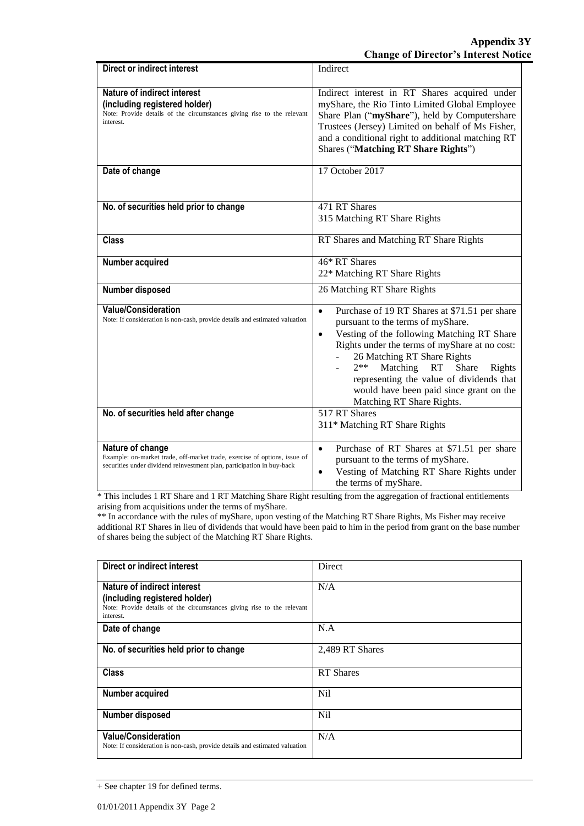| <b>Direct or indirect interest</b>                                                                                                                                      | Indirect                                                                                                                                                                                                                                                                                                                                                                                                     |
|-------------------------------------------------------------------------------------------------------------------------------------------------------------------------|--------------------------------------------------------------------------------------------------------------------------------------------------------------------------------------------------------------------------------------------------------------------------------------------------------------------------------------------------------------------------------------------------------------|
| Nature of indirect interest<br>(including registered holder)<br>Note: Provide details of the circumstances giving rise to the relevant<br>interest.                     | Indirect interest in RT Shares acquired under<br>myShare, the Rio Tinto Limited Global Employee<br>Share Plan ("myShare"), held by Computershare<br>Trustees (Jersey) Limited on behalf of Ms Fisher,<br>and a conditional right to additional matching RT<br>Shares ("Matching RT Share Rights")                                                                                                            |
| Date of change                                                                                                                                                          | 17 October 2017                                                                                                                                                                                                                                                                                                                                                                                              |
| No. of securities held prior to change                                                                                                                                  | 471 RT Shares<br>315 Matching RT Share Rights                                                                                                                                                                                                                                                                                                                                                                |
| <b>Class</b>                                                                                                                                                            | RT Shares and Matching RT Share Rights                                                                                                                                                                                                                                                                                                                                                                       |
| Number acquired                                                                                                                                                         | 46* RT Shares<br>22* Matching RT Share Rights                                                                                                                                                                                                                                                                                                                                                                |
| Number disposed                                                                                                                                                         | 26 Matching RT Share Rights                                                                                                                                                                                                                                                                                                                                                                                  |
| <b>Value/Consideration</b><br>Note: If consideration is non-cash, provide details and estimated valuation                                                               | Purchase of 19 RT Shares at \$71.51 per share<br>$\bullet$<br>pursuant to the terms of myShare.<br>Vesting of the following Matching RT Share<br>$\bullet$<br>Rights under the terms of myShare at no cost:<br>26 Matching RT Share Rights<br>$2**$<br>Matching<br>RT<br>Share<br>Rights<br>representing the value of dividends that<br>would have been paid since grant on the<br>Matching RT Share Rights. |
| No. of securities held after change                                                                                                                                     | 517 RT Shares<br>311* Matching RT Share Rights                                                                                                                                                                                                                                                                                                                                                               |
| Nature of change<br>Example: on-market trade, off-market trade, exercise of options, issue of<br>securities under dividend reinvestment plan, participation in buy-back | Purchase of RT Shares at \$71.51 per share<br>$\bullet$<br>pursuant to the terms of myShare.<br>Vesting of Matching RT Share Rights under<br>$\bullet$<br>the terms of myShare.                                                                                                                                                                                                                              |

\* This includes 1 RT Share and 1 RT Matching Share Right resulting from the aggregation of fractional entitlements arising from acquisitions under the terms of myShare.

\*\* In accordance with the rules of myShare, upon vesting of the Matching RT Share Rights, Ms Fisher may receive additional RT Shares in lieu of dividends that would have been paid to him in the period from grant on the base number of shares being the subject of the Matching RT Share Rights.

| Direct or indirect interest                                                         | Direct           |
|-------------------------------------------------------------------------------------|------------------|
| Nature of indirect interest                                                         | N/A              |
| (including registered holder)                                                       |                  |
| Note: Provide details of the circumstances giving rise to the relevant<br>interest. |                  |
| Date of change                                                                      | N.A              |
| No. of securities held prior to change                                              | 2,489 RT Shares  |
| <b>Class</b>                                                                        | <b>RT</b> Shares |
| Number acquired                                                                     | Nil              |
| <b>Number disposed</b>                                                              | N <sub>i</sub>   |
| <b>Value/Consideration</b>                                                          | N/A              |
| Note: If consideration is non-cash, provide details and estimated valuation         |                  |

<sup>+</sup> See chapter 19 for defined terms.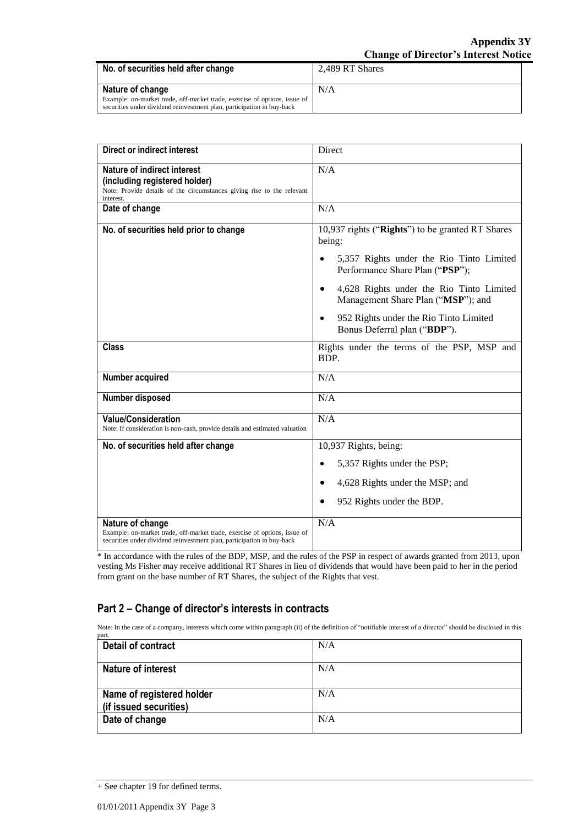| No. of securities held after change                                                                                                                 | 2.489 RT Shares |
|-----------------------------------------------------------------------------------------------------------------------------------------------------|-----------------|
| Nature of change                                                                                                                                    | N/A             |
| Example: on-market trade, off-market trade, exercise of options, issue of<br>securities under dividend reinvestment plan, participation in buy-back |                 |

| <b>Direct or indirect interest</b>                                                                                                                                      | Direct                                                                                                                                                                                                          |
|-------------------------------------------------------------------------------------------------------------------------------------------------------------------------|-----------------------------------------------------------------------------------------------------------------------------------------------------------------------------------------------------------------|
| Nature of indirect interest<br>(including registered holder)<br>Note: Provide details of the circumstances giving rise to the relevant<br>interest.                     | N/A                                                                                                                                                                                                             |
| Date of change                                                                                                                                                          | N/A                                                                                                                                                                                                             |
| No. of securities held prior to change                                                                                                                                  | 10,937 rights ("Rights") to be granted RT Shares<br>being:<br>5,357 Rights under the Rio Tinto Limited<br>$\bullet$<br>Performance Share Plan ("PSP");<br>4,628 Rights under the Rio Tinto Limited<br>$\bullet$ |
|                                                                                                                                                                         | Management Share Plan ("MSP"); and<br>952 Rights under the Rio Tinto Limited<br>$\bullet$<br>Bonus Deferral plan ("BDP").                                                                                       |
| <b>Class</b>                                                                                                                                                            | Rights under the terms of the PSP, MSP and<br>BDP.                                                                                                                                                              |
| Number acquired                                                                                                                                                         | N/A                                                                                                                                                                                                             |
| Number disposed                                                                                                                                                         | N/A                                                                                                                                                                                                             |
| <b>Value/Consideration</b><br>Note: If consideration is non-cash, provide details and estimated valuation                                                               | N/A                                                                                                                                                                                                             |
| No. of securities held after change                                                                                                                                     | 10,937 Rights, being:                                                                                                                                                                                           |
|                                                                                                                                                                         | 5,357 Rights under the PSP;                                                                                                                                                                                     |
|                                                                                                                                                                         | 4,628 Rights under the MSP; and<br>$\bullet$                                                                                                                                                                    |
|                                                                                                                                                                         | 952 Rights under the BDP.                                                                                                                                                                                       |
| Nature of change<br>Example: on-market trade, off-market trade, exercise of options, issue of<br>securities under dividend reinvestment plan, participation in buy-back | N/A                                                                                                                                                                                                             |

\* In accordance with the rules of the BDP, MSP, and the rules of the PSP in respect of awards granted from 2013, upon vesting Ms Fisher may receive additional RT Shares in lieu of dividends that would have been paid to her in the period from grant on the base number of RT Shares, the subject of the Rights that vest.

### **Part 2 – Change of director's interests in contracts**

Note: In the case of a company, interests which come within paragraph (ii) of the definition of "notifiable interest of a director" should be disclosed in this

| part.                                               |     |
|-----------------------------------------------------|-----|
| Detail of contract                                  | N/A |
| <b>Nature of interest</b>                           | N/A |
| Name of registered holder<br>(if issued securities) | N/A |
| Date of change                                      | N/A |

<sup>+</sup> See chapter 19 for defined terms.